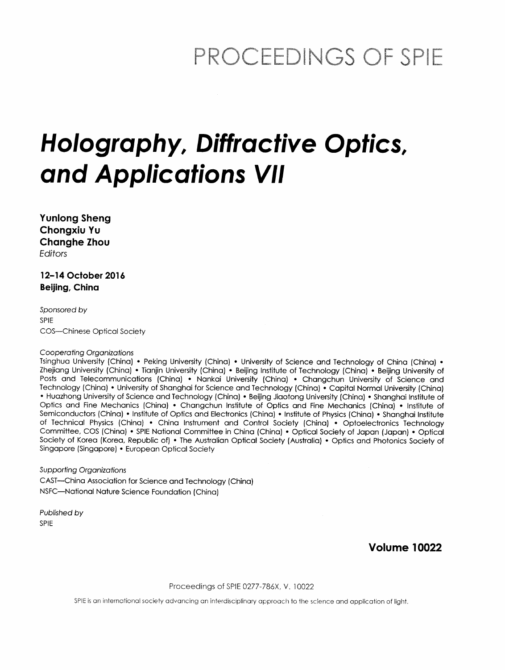## PROCEEDINGS OF SPIE

# Holography, Diffractive Optics, and Applications VII

Yunlong Sheng Chongxiu Yu Changhe Zhou Editors

12-14 October 2016 Beijing, China

Sponsored by SPIE COS—Chinese Optical Society

#### Cooperating Organizations

Tsinghua University (China) • Peking University (China) • University of Science and Technology of China (China) • Zhejiang University (China) • Tianjin University (China) • Beijing Institute of Technology (China) • Beijing University of Posts and Telecommunications (China) • Nankai University (China) • Changchun University of Science and Technology (China) • University of Shanghai for Science and Technology (China) • Capital Normal University (China) • Huazhong University of Science and Technology (China) • Beijing Jiaotong University (China) • Shanghai Institute of Optics and Fine Mechanics (China) • Changchun Institute of Optics and Fine Mechanics (China) • Institute of Semiconductors (China) • Institute of Optics and Electronics (China) • Institute of Physics (China) • Shanghai Institute of Technical Physics (China) • China Instrument and Control Society (China) • Optoelectronics Technology Committee, COS (China) • SPIE National Committee in China (China) • Optical Society of Japan (Japan) • Optical Society of Korea (Korea, Republic of) • The Australian Optical Society (Australia) • Optics and Photonics Society of Singapore (Singapore) • European Optical Society

Supporting Organizations CAST—China Association for Science and Technology (China) NSFC—National Nature Science Foundation (China)

Published by SPIE

Volume 10022

Proceedings of SPIE 0277-786X. V. 10022

SPIE is an international society advancing an interdisciplinary approach to the science and application of light.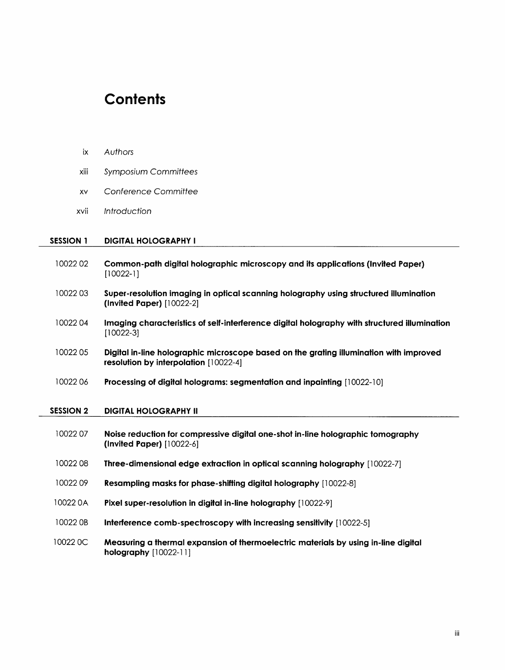### **Contents**

xiii Symposium Committees

XV Conference Committee

ix Authors

| xvii             | Introduction                                                                                                                    |
|------------------|---------------------------------------------------------------------------------------------------------------------------------|
| <b>SESSION 1</b> | <b>DIGITAL HOLOGRAPHY I</b>                                                                                                     |
| 1002202          | Common-path digital holographic microscopy and its applications (Invited Paper)<br>$[10022 - 1]$                                |
| 1002203          | Super-resolution imaging in optical scanning holography using structured illumination<br>$($ lnvited Paper $)$ $[10022-2]$      |
| 1002204          | Imaging characteristics of self-interference digital holography with structured illumination<br>$[10022-3]$                     |
| 1002205          | Digital in-line holographic microscope based on the grating illumination with improved<br>resolution by interpolation [10022-4] |
| 1002206          | Processing of digital holograms: segmentation and inpainting [10022-10]                                                         |
| <b>SESSION 2</b> | <b>DIGITAL HOLOGRAPHY II</b>                                                                                                    |
| 1002207          | Noise reduction for compressive digital one-shot in-line holographic tomography<br>(Invited Paper) [10022-6]                    |
| 1002208          | Three-dimensional edge extraction in optical scanning holography [10022-7]                                                      |
| 1002209          | Resampling masks for phase-shifting digital holography [10022-8]                                                                |
| 10022 0A         | Pixel super-resolution in digital in-line holography [10022-9]                                                                  |
| 10022 0B         | Interference comb-spectroscopy with increasing sensitivity [10022-5]                                                            |
| 10022 0C         | Measuring a thermal expansion of thermoelectric materials by using in-line digital<br>holography [10022-11]                     |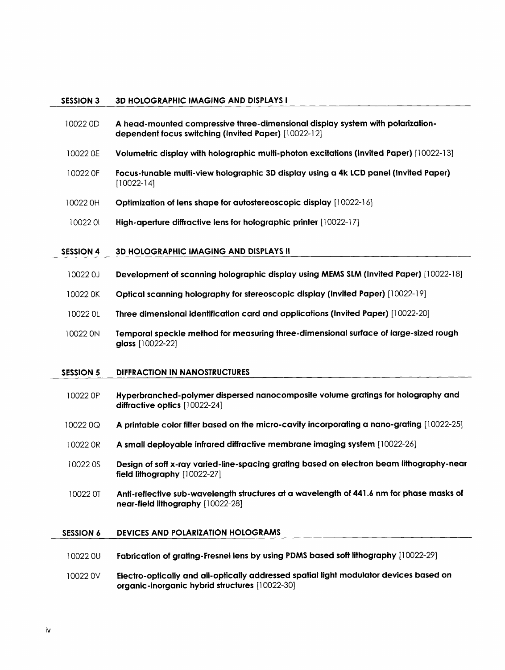#### SESSION 3 3D HOLOGRAPHIC IMAGING AND DISPLAYS <sup>I</sup>

- 10022 0D A head-mounted compressive three-dimensional display system with polarizationdependent focus switching (Invited Paper) [10022-12]
- 10022 0E Volumetric display with holographic multi-photon excitations (Invited Paper) [10022-13]
- <sup>10022</sup> OF Focus-tunable multi-view holographic 3D display using a 4k LCD panel (Invited Paper) [10022-14]
- 10022 OH Optimization of lens shape for autostereoscopic display [10022-16]
- 10022 <sup>01</sup> High-aperture diffractive lens for holographic printer [10022-17]

#### SESSION 4 3D HOLOGRAPHIC IMAGING AND DISPLAYS II

- <sup>10022</sup> 0J Development of scanning holographic display using MEMS SLM (Invited Paper) [10022-18]
- 10022 OK Optical scanning holography for stereoscopic display (Invited Paper) [10022-19]
- 10022 0L Three dimensional identification card and applications (Invited Paper) [10022-20]
- 10022 ON Temporal speckle method for measuring three-dimensional surface of large-sized rough glass [10022-22]

#### SESSION 5 DIFFRACTION IN NANOSTRUCTURES

- 10022 OP Hyperbranched-polymer dispersed nanocomposite volume gratings for holography and diffractive optics [10022-24]
- 10022 OQ A printable color filter based on the micro-cavity incorporating a nano-grating [10022-25]
- 10022 OR A small deployable infrared diffractive membrane imaging system [10022-26]
- <sup>10022</sup> OS Design of soft x-ray varied-line-spacing grating based on electron beam lithography-near field lithography [10022-27]
- <sup>10022</sup> OT Anti-reflective sub-wavelength structures at a wavelength of 441.6 nm for phase masks of near-field lithography [10022-28]

#### SESSION 6 DEVICES AND POLARIZATION HOLOGRAMS

- <sup>10022</sup> OU Fabrication of grating-Fresnel lens by using PDMS based soft lithography [10022-29]
- <sup>10022</sup> OV Electro-opfically and all-optically addressed spatial light modulator devices based on organic-inorganic hybrid structures [10022-30]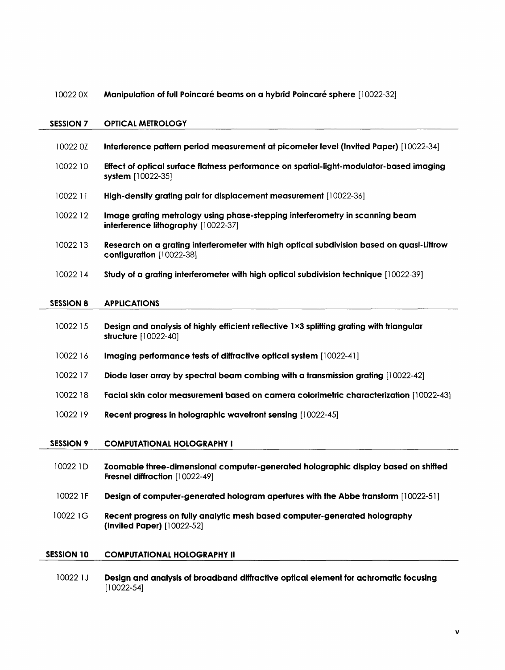#### 10022 0X Manipulation of full Poincaré beams on a hybrid Poincaré sphere [10022-32]

#### SESSION 7 OPTICAL METROLOGY

| 100220Z           | Interference pattern period measurement at picometer level (Invited Paper) [10022-34]                                 |
|-------------------|-----------------------------------------------------------------------------------------------------------------------|
|                   |                                                                                                                       |
| 10022 10          | Effect of optical surface flatness performance on spatial-light-modulator-based imaging<br>system [10022-35]          |
| 10022 11          | High-density grating pair for displacement measurement [10022-36]                                                     |
| 10022 12          | Image grating metrology using phase-stepping interferometry in scanning beam<br>interference lithography [10022-37]   |
| 10022 13          | Research on a grating interferometer with high optical subdivision based on quasi-Littrow<br>configuration [10022-38] |
| 10022 14          | Study of a grating interferometer with high optical subdivision technique [10022-39]                                  |
| <b>SESSION 8</b>  | <b>APPLICATIONS</b>                                                                                                   |
|                   |                                                                                                                       |
| 10022 15          | Design and analysis of highly efficient reflective 1×3 splitting grating with triangular<br>structure [10022-40]      |
| 1002216           | Imaging performance tests of diffractive optical system [10022-41]                                                    |
| 10022 17          | Diode laser array by spectral beam combing with a transmission grating [10022-42]                                     |
| 10022 18          | Facial skin color measurement based on camera colorimetric characterization [10022-43]                                |
| 10022 19          | Recent progress in holographic wavefront sensing [10022-45]                                                           |
| <b>SESSION 9</b>  | <b>COMPUTATIONAL HOLOGRAPHY I</b>                                                                                     |
| 10022 1D          | Zoomable three-dimensional computer-generated holographic display based on shifted<br>Fresnel diffraction [10022-49]  |
| 10022 1F          | Design of computer-generated hologram apertures with the Abbe transform [10022-51]                                    |
| 10022 1G          | Recent progress on fully analytic mesh based computer-generated holography<br>(Invited Paper) [10022-52]              |
| <b>SESSION 10</b> | <b>COMPUTATIONAL HOLOGRAPHY II</b>                                                                                    |
| 3000031           | the continuous and the book and a continuous and alternative<br>.<br>$\cdots$<br>$22 - 12 - 12 = 12$                  |

10022 1J Design and analysis of broadband diffractive optical element for achromatic focusing [10022-54]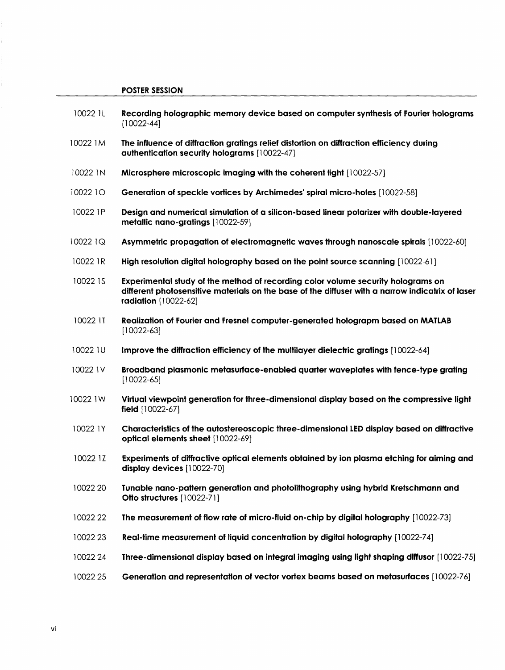#### POSTER SESSION

- 10022 1L Recording holographic memory device based on computer synthesis of Fourier holograms [10022-44]
- 10022 1M The influence of diffraction gratings relief distortion on diffraction efficiency during authentication security holograms [10022-47]
- 10022 1N Microsphere microscopic imaging with the coherent light [10022-57]
- 10022 10 Generation of speckle vortices by Archimedes' spiral micro-holes [10022-58]
- 10022 1P Design and numerical simulation of a silicon-based linear polarizer with double-layered metallic nano-gratings [10022-59]
- 10022 1Q Asymmetric propagation of electromagnetic waves through nanoscale spirals [10022-60]
- 10022 1R High resolution digital holography based on the point source scanning [10022-61 ]
- 10022 1S Experimental study of the method of recording color volume security holograms on different photosensitive materials on the base of the diffuser with a narrow indicatrix of laser radiation [10022-62]
- 10022 IT Realization of Fourier and Fresnel computer-generated holograpm based on MATLAB [10022-63]
- 10022 1U Improve the diffraction efficiency of the multilayer dielectric gratings [10022-64]
- 10022 1V Broadband plasmonic metasurface-enabled quarter waveplates with fence-type grating [10022-65]
- 10022 1W Virtual viewpoint generation for three-dimensional display based on the compressive light field [10022-67]
- 10022 1Y Characteristics of the autostereoscopic three-dimensional LED display based on diffractive optical elements sheet [10022-69]
- 10022 1Z Experiments of diffractive optical elements obtained by ion plasma etching for aiming and display devices [10022-70]
- 10022 20 Tunable nano-pattern generation and photolithography using hybrid Kretschmann and Otto structures [10022-71]
- 10022 <sup>22</sup> The measurement of flow rate of micro-fluid on-chip by digital holography [10022-73]
- 10022 <sup>23</sup> Real-time measurement of liquid concentration by digital holography [10022-74]
- 10022 24 Three-dimensional display based on integral imaging using light shaping diffusor [10022-75]
- 10022 <sup>25</sup> Generation and representation of vector vortex beams based on metasurfaces [10022-76]